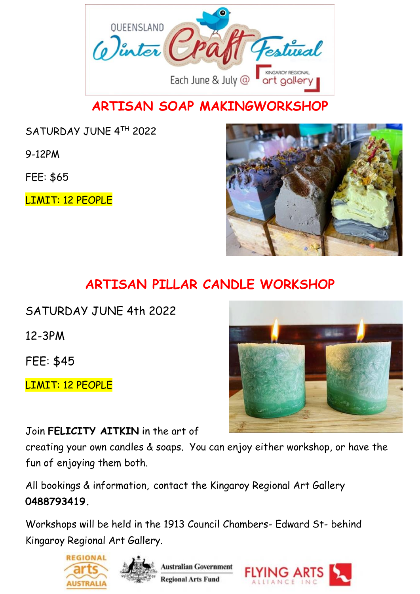

## **ARTISAN SOAP MAKINGWORKSHOP**

SATURDAY JUNE 4TH 2022

9-12PM

FEE: \$65

LIMIT: 12 PEOPLE



## **ARTISAN PILLAR CANDLE WORKSHOP**

SATURDAY JUNE 4th 2022 12-3PM

FEE: \$45

LIMIT: 12 PEOPLE

Join **FELICITY AITKIN** in the art of

creating your own candles & soaps. You can enjoy either workshop, or have the fun of enjoying them both.

All bookings & information, contact the Kingaroy Regional Art Gallery **0488793419.**









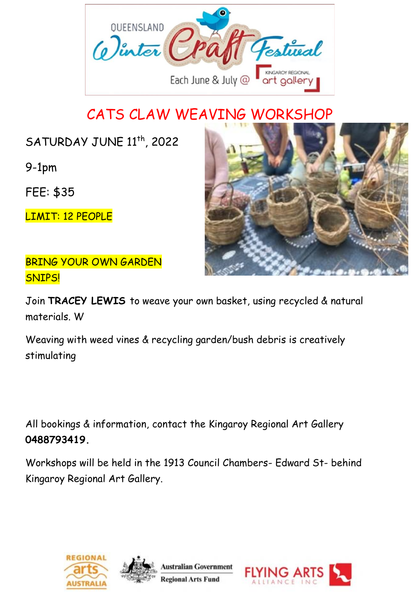

# CATS CLAW WEAVING WORKSHOP

SATURDAY JUNE 11<sup>th</sup>, 2022

9-1pm

FEE: \$35

LIMIT: 12 PEOPLE

BRING YOUR OWN GARDEN SNIPS!



Join **TRACEY LEWIS** to weave your own basket, using recycled & natural materials. W

Weaving with weed vines & recycling garden/bush debris is creatively stimulating

All bookings & information, contact the Kingaroy Regional Art Gallery **0488793419.**







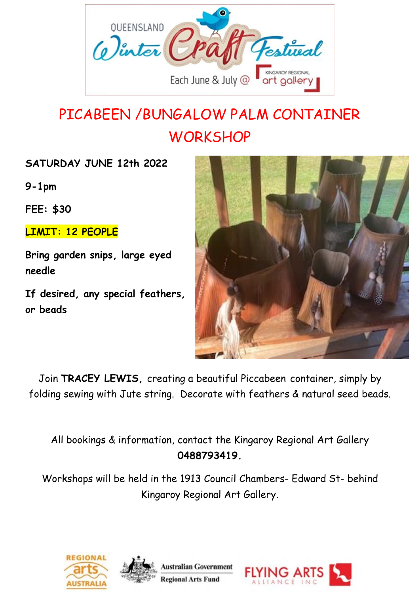

# PICABEEN /BUNGALOW PALM CONTAINER **WORKSHOP**

**SATURDAY JUNE 12th 2022**

**9-1pm**

**FEE: \$30**

**LIMIT: 12 PEOPLE**

**Bring garden snips, large eyed needle**

**If desired, any special feathers, or beads**



ALLIANCE IN

Join **TRACEY LEWIS,** creating a beautiful Piccabeen container, simply by folding sewing with Jute string. Decorate with feathers & natural seed beads.

All bookings & information, contact the Kingaroy Regional Art Gallery **0488793419.**



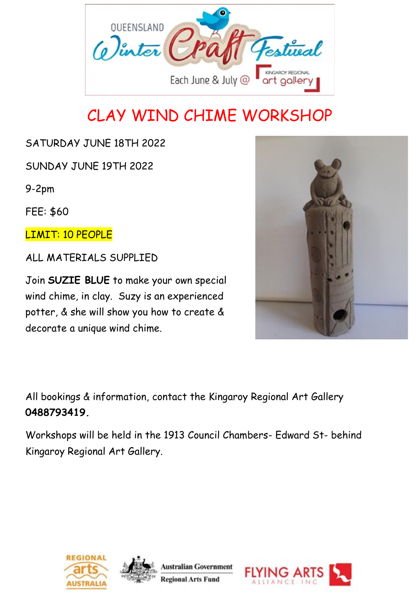

# CLAY WIND CHIME WORKSHOP

### SATURDAY JUNE 18TH 2022

SUNDAY JUNE 19TH 2022

9-2pm

FEE: \$60

LIMIT: 10 PEOPLE

ALL MATERIALS SUPPLIED

Join **SUZIE BLUE** to make your own special wind chime, in clay. Suzy is an experienced potter, & she will show you how to create & decorate a unique wind chime.



All bookings & information, contact the Kingaroy Regional Art Gallery **0488793419.**







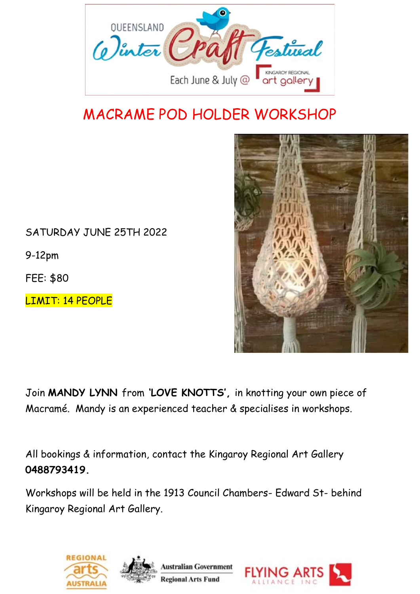

# MACRAME POD HOLDER WORKSHOP



SATURDAY JUNE 25TH 2022

9-12pm

FEE: \$80

LIMIT: 14 PEOPLE

Join **MANDY LYNN** from **'LOVE KNOTTS',** in knotting your own piece of Macramé. Mandy is an experienced teacher & specialises in workshops.

All bookings & information, contact the Kingaroy Regional Art Gallery **0488793419.**





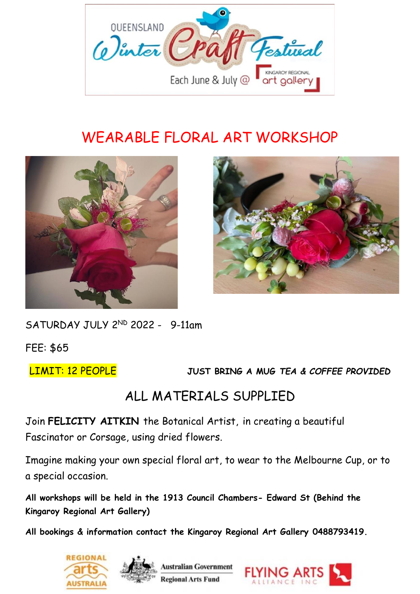

# WEARABLE FLORAL ART WORKSHOP





SATURDAY JULY 2ND 2022 - 9-11am

FEE: \$65

LIMIT: 12 PEOPLE **JUST BRING A MUG** *TEA & COFFEE PROVIDED*

### ALL MATERIALS SUPPLIED

Join **FELICITY AITKIN** the Botanical Artist, in creating a beautiful Fascinator or Corsage, using dried flowers.

Imagine making your own special floral art, to wear to the Melbourne Cup, or to a special occasion.

**All workshops will be held in the 1913 Council Chambers- Edward St (Behind the Kingaroy Regional Art Gallery)**

**All bookings & information contact the Kingaroy Regional Art Gallery 0488793419.**





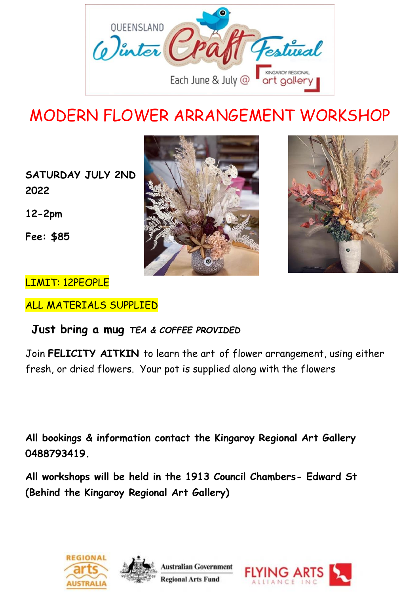

# MODERN FLOWER ARRANGEMENT WORKSHOP

**SATURDAY JULY 2ND 2022** 

**12-2pm**

**Fee: \$85**



### LIMIT: 12PEOPLE

ALL MATERIALS SUPPLIED

### **Just bring a mug** *TEA & COFFEE PROVIDED*

Join **FELICITY AITKIN** to learn the art of flower arrangement, using either fresh, or dried flowers. Your pot is supplied along with the flowers

**All bookings & information contact the Kingaroy Regional Art Gallery 0488793419.**







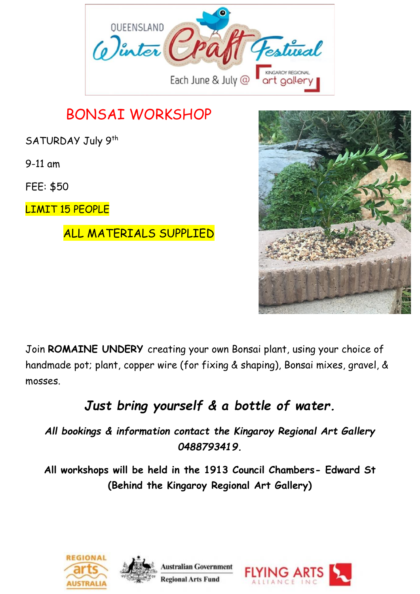

FEE: \$50

9-11 am

LIMIT 15 PEOPLE

### ALL MATERIALS SUPPLIED



Join **ROMAINE UNDERY** creating your own Bonsai plant, using your choice of handmade pot; plant, copper wire (for fixing & shaping), Bonsai mixes, gravel, & mosses.

# *Just bring yourself & a bottle of water.*

*All bookings & information contact the Kingaroy Regional Art Gallery 0488793419.*







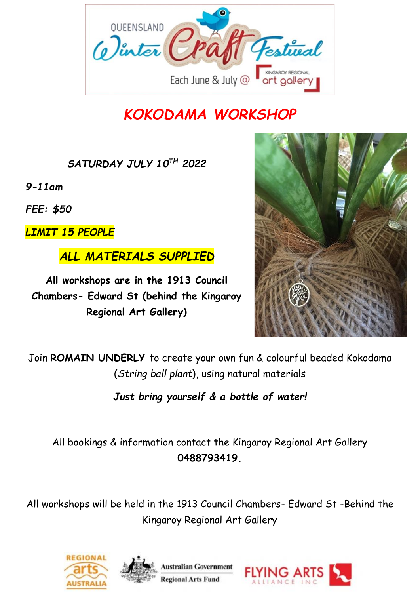

# *KOKODAMA WORKSHOP*

*SATURDAY JULY 10TH 2022*

*9-11am*

*FEE: \$50*

*LIMIT 15 PEOPLE*

*ALL MATERIALS SUPPLIED*

**All workshops are in the 1913 Council Chambers- Edward St (behind the Kingaroy Regional Art Gallery)**



Join **ROMAIN UNDERLY** to create your own fun & colourful beaded Kokodama (*String ball plant*), using natural materials

*Just bring yourself & a bottle of water!*

All bookings & information contact the Kingaroy Regional Art Gallery **0488793419.**